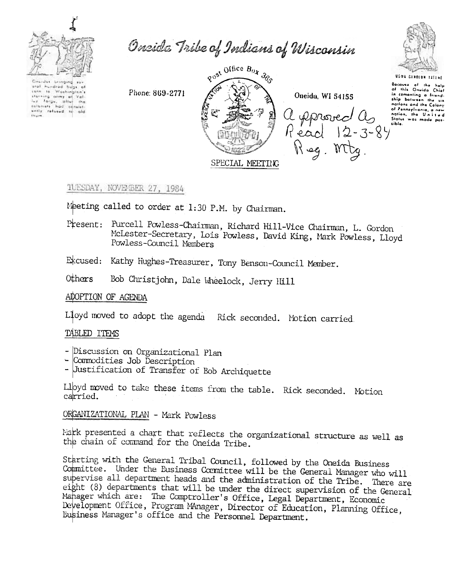

Onside Tribe of Indians of Wisconsin



Chardes bringing sur ural hundred burn of com la Washington's rom to Washington,<br>thermal army of Valley Theory, other the<br>romany to consider the share of<br>write referred to ald

Phone: 869-2771



Oneida, WI 54155 a pprovect as<br>Read 12-3-84 Reg. Mtg.

USWA DENOLUN TATENE Because of the help<br>of this Oneida Chief of this Uniting a friend.<br>In comonting a friend.<br>Ship botween the six of Pennsylvania, a new nation, the United<br>Status was made positible.

1UESDAY, NOVEMBER 27, 1984

Meeting called to order at 1:30 P.M. by Chairman.

Present: Purcell Powless-Chairman, Richard Hill-Vice Chairman, L. Gordon McLester-Secretary, Lois Powless, David King, Mark Powless, Lloyd Powless-Council Members

Excused: Kathy Hughes-Treasurer, Tony Benson-Council Member.

Bob Christjohn, Dale Wheelock, Jerry Hill Others

ADOPTION OF AGENDA

Lloyd moved to adopt the agenda Rick seconded. Motion carried.

TABLED ITEMS

- Discussion on Organizational Plan
- Commodities Job Description
- Justification of Transfer of Bob Archiquette

Lloyd moved to take these items from the table. Rick seconded. Motion carried.

ORGANIZATIONAL PLAN - Mark Powless

Mark presented a chart that reflects the organizational structure as well as the chain of command for the Oneida Tribe.

Starting with the General Tribal Council, followed by the Oneida Business Committée. Under the Eusiness Committee will be the General Manager who will supervise all department heads and the administration of the Tribe. There are eight (8) departments that will be under the direct supervision of the General Mahager which are: The Comptroller's Office, Legal Department, Economic Development Office, Program MAnager, Director of Education, Planning Office, Eusiness Manager's office and the Personnel Department.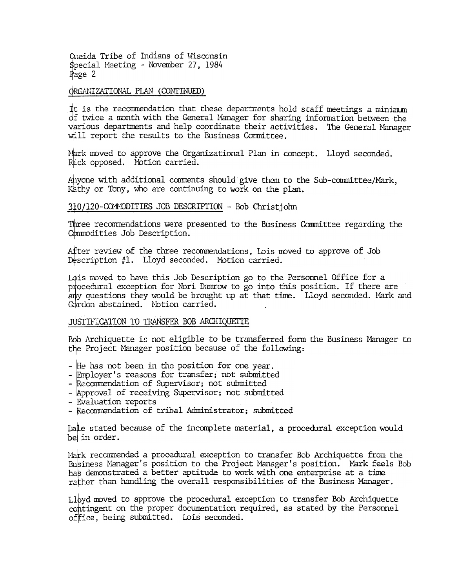Queida Tribe of Indians of Wisconsin \$pecial Meeting - November 27, 1984 Page 2

# ORGANIZATIONAL PLAN (CONTINUED)

It is the recommendation that these departments hold staff meetings a minimum of twice a month with the General Manager for sharing information between the various departments and help coordinate their activities. The General Manager will report the results to the Business Committee.

Mark moved to approve the Organizational Plan in concept. Lloyd seconded. Rick opposed. Notion carried.

Anyone with additional comments should give them to the Sub-committee/Mark, Kathy or Tony, who are continuing to work on the plan.

# 310/120-COMMODITIES JOB DESCRIPTION - Bob Christjohn

Three recommendations were presented to the Business Committee regarding the Commodities Job Description.

After review of the three recommendations, Lois moved to approve of Job Description #1. Lloyd seconded. Motion carried.

Lois moved to have this Job Description go to the Personnel Office for a procedural exception for Nori Damrow to go into this position. If there are any questions they would be brought up at that time. Lloyd seconded. Mark and Gordon abstained. Motion carried.

### JUSTIFICATION TO TRANSFER BOB ARCHIQUETTE

Pob Archiquette is not eligible to be transferred form the Business Manager to the Project Manager position because of the following:

- He has not been in the position for one year.
- Employer's reasons for transfer; not submitted
- Recommendation of Supervisor; not submitted
- Approval of receiving Supervisor; not submitted
- Evaluation reports
- Recommendation of tribal Administrator; submitted

Dale stated because of the incomplete material, a procedural exception would be in order.

Mark recommended a procedural exception to transfer Bob Archiquette from the Business Manager's position to the Project Manager's position. Mark feels Bob has demonstrated a better aptitude to work with one enterprise at a time rather than handling the overall responsibilities of the Business Manager.

Lloyd moved to approve the procedural exception to transfer Bob Archiquette contingent on the proper documentation required, as stated by the Personnel office, being submitted. Lois seconded.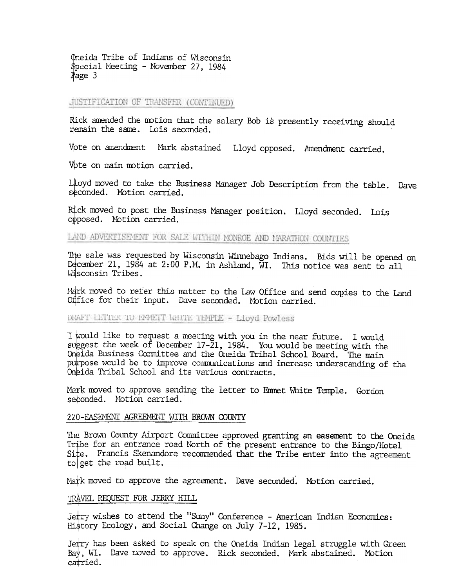theida Tribe of Indians of Wisconsin Special Meeting - November 27, 1984  $Page 3$ 

# JUSTIFICATION OF TRANSFER (CONTINUED)

Rick amended the motion that the salary Bob is presently receiving should remain the same. Lois seconded.

Vpte on amendment Mark abstained Lloyd opposed. Amendment carried.

Vote on main motion carried.

Lloyd moved to take the Business Manager Job Description from the table. Dave seconded. Motion carried.

Rick moved to post the Business Manager position. Lloyd seconded. Lois opposed. Notion carried.

LAND ADVERTISEMENT FOR SALE WITHIN MONROE AND MARATHON COUNTIES

The sale was requested by Wisconsin Winnebago Indians. Bids will be opened on December 21, 1984 at 2:00 P.M. in Ashland, WI. This notice was sent to all Wisconsin Tribes.

Mark moved to refer this matter to the Law Office and send copies to the Land Office for their input. Dave seconded. Motion carried.

## DIVET LETTER TO EFFETT WHITE TEMPLE - Lloyd Powless

I would like to request a meeting with you in the near future. I would suggest the week of December 17-21, 1984. You would be meeting with the Oneida Business Committee and the Oneida Tribal School Board. The main purpose would be to improve communications and increase understanding of the Oneida Tribal School and its various contracts.

Mark moved to approve sending the letter to Emmet White Temple. Gordon seconded. Motion carried.

#### 220-EASEMENT AGREEMENT WITH BROWN COUNTY

The Brown County Airport Committee approved granting an easement to the Oneida Tribe for an entrance road North of the present entrance to the Bingo/Hotel Site. Francis Skenandore recommended that the Tribe enter into the agreement to get the road built.

Mark moved to approve the agreement. Dave seconded. Motion carried.

## TRAVEL REQUEST FOR JERRY HILL

Jetry wishes to attend the "Suny" Conference - American Indian Economics: History Ecology, and Social Change on July 7-12, 1985.

Jerry has been asked to speak on the Oneida Indian legal struggle with Green Bay, WI. Dave noved to approve. Rick seconded. Mark abstained. Motion carried.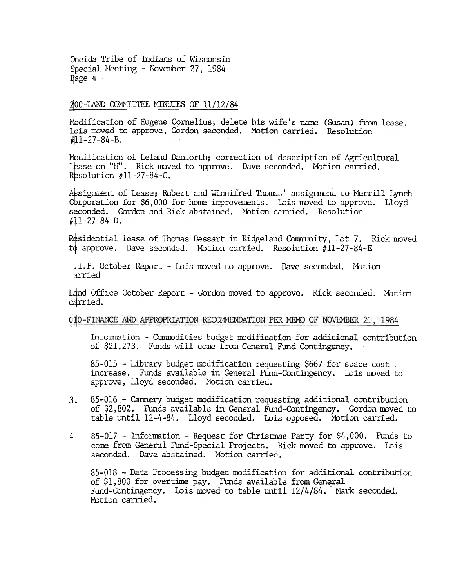Oneida Tribe of Indians of Wisconsin Special Meeting - November 27, 1984 Page 4

## 200-LAND COMMITTEE MINUTES OF 11/12/84

Modification of Eugene Cornelius; delete his wife's name (Susan) from lease. Ibis moved to approve, Gordon seconded. Motion carried. Resolution  $#11-27-84-B.$ 

Modification of Leland Danforth; correction of description of Agricultural Lease on "H". Rick moved to approve. Dave seconded. Motion carried. Resolution  $#11-27-84-C$ .

Assignment of Lease; Robert and Winnifred Thomas' assignment to Merrill Lynch Corporation for \$6,000 for home improvements. Lois moved to approve. Lloyd seconded. Gordon and Rick abstained. Motion carried. Resolution  $#11-27-84-D.$ 

Residential lease of Thomas Dessart in Ridgeland Community, Lot 7. Rick moved to approve. Dave seconded. Motion carried. Resolution #11-27-84-E

1.P. October Report - Lois moved to approve. Dave seconded. Motion irried

Land Office October Report - Gordon moved to approve. Rick seconded. Motion carried.

## 010-FINANCE AND APPROPRIATION RECOMMENDATION PER MEMO OF NOVEMBER 21, 1984

Information - Commodities budget modification for additional contribution of \$21,273. Funds will come from General Fund-Contingency.

85-015 - Library budget modification requesting \$667 for space cost. increase. Funds available in General Fund-Contingency. Lois moved to approve, Lloyd seconded. Motion carried.

- 85-016 Cannery budget modification requesting additional contribution  $3.$ of \$2,802. Funds available in General Fund-Contingency. Gordon moved to table until 12-4-84. Lloyd seconded. Lois opposed. Motion carried.
- $85-017$  Information Request for Christmas Party for \$4,000. Funds to  $\overline{L}$ come from General Fund-Special Projects. Rick moved to approve. Lois seconded. Dave abstained. Motion carried.

85-018 - Data Processing budget modification for additional contribution of \$1,800 for overtime pay. Funds available from General Fund-Contingency. Lois moved to table until 12/4/84. Mark seconded. Motion carried.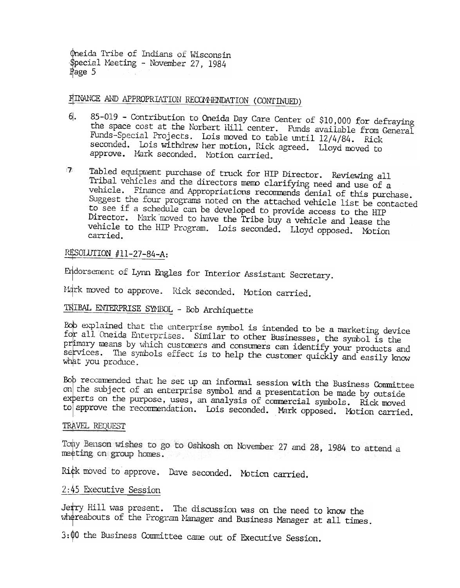Oneida Tribe of Indians of Wisconsin \$pecial Meeting - November 27, 1984 Page 5

# FINANCE AND APPROPRIATION RECOMMENDATION (CONTINUED)

- 85-019 Contribution to Oneida Day Care Center of \$10,000 for defraying 6. the space cost at the Norbert Hill center. Funds available from General Funds-Special Projects. Lois moved to table until 12/4/84. Rick seconded. Lois withdrew her motion, Rick agreed. Lloyd moved to approve. Mark seconded. Motion carried.
- Tabled equipment purchase of truck for HIP Director. Reviewing all  $\mathbb{Z}$ Tribal vehicles and the directors memo clarifying need and use of a vehicle. Finance and Appropriations recommends denial of this purchase. Suggest the four programs noted on the attached vehicle list be contacted to see if a schedule can be developed to provide access to the HIP Director. Mark moved to have the Tribe buy a vehicle and lease the vehicle to the HIP Program. Lois seconded. Lloyd opposed. Motion carried.

## RESOLUTION  $#11-27-84-A$ :

Endorsement of Lynn Engles for Interior Assistant Secretary.

Mark moved to approve. Rick seconded. Motion carried.

# TRIBAL ENTERPRISE SYMBOL - Bob Archiquette

Bob explained that the enterprise symbol is intended to be a marketing device for all Oneida Enterprises. Similar to other Businesses, the symbol is the primary means by which customers and consumers can identify your products and services. The symbols effect is to help the customer quickly and easily know what you produce.

Bob recommended that he set up an informal session with the Business Committee on the subject of an enterprise symbol and a presentation be made by outside experts on the purpose, uses, an analysis of commercial symbols. Rick moved to approve the recommendation. Lois seconded. Mark opposed. Motion carried.

## TRAVEL REQUEST

To hy Benson wishes to go to Oshkosh on November 27 and 28, 1984 to attend a meeting on group homes.

Rick moved to approve. Dave seconded. Motion carried.

## 2:45 Executive Session

Jetry Hill was present. The discussion was on the need to know the whereabouts of the Program Manager and Business Manager at all times.

3:00 the Business Committee came out of Executive Session.